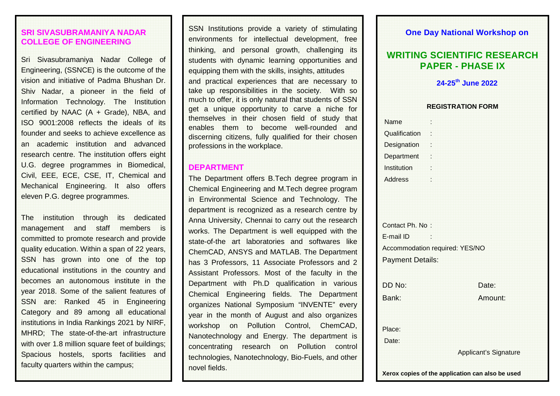#### **SRI SIVASUBRAMANIYA NADAR COLLEGE OF ENGINEERING**

Sri Sivasubramaniya Nadar College of Engineering, (SSNCE) is the outcome of the vision and initiative of Padma Bhushan Dr. Shiv Nadar, a pioneer in the field of Information Technology. The Institution certified by NAAC (A + Grade), NBA, and ISO 9001:2008 reflects the ideals of its founder and seeks to achieve excellence as an academic institution and advanced research centre. The institution offers eight U.G. degree programmes in Biomedical, Civil, EEE, ECE, CSE, IT, Chemical and Mechanical Engineering. It also offers eleven P.G. degree programmes.

The institution through its dedicated management and staff members is committed to promote research and provide quality education. Within a span of 22 years, SSN has grown into one of the top educational institutions in the country and becomes an autonomous institute in the year 2018. Some of the salient features of SSN are: Ranked 45 in Engineering Category and 89 among all educational institutions in India Rankings 2021 by NIRF, MHRD; The state-of-the-art infrastructure with over 1.8 million square feet of buildings; Spacious hostels, sports facilities and faculty quarters within the campus;

SSN Institutions provide a variety of stimulating environments for intellectual development, free thinking, and personal growth, challenging its students with dynamic learning opportunities and equipping them with the skills, insights, attitudes and practical experiences that are necessary to take up responsibilities in the society. With so much to offer, it is only natural that students of SSN get a unique opportunity to carve a niche for themselves in their chosen field of study that enables them to become well-rounded and discerning citizens, fully qualified for their chosen professions in the workplace.

#### **DEPARTMENT**

The Department offers B.Tech degree program in Chemical Engineering and M.Tech degree program in Environmental Science and Technology. The department is recognized as a research centre by Anna University, Chennai to carry out the research works. The Department is well equipped with the state-of-the art laboratories and softwares like ChemCAD, ANSYS and MATLAB. The Department has 3 Professors, 11 Associate Professors and 2 Assistant Professors. Most of the faculty in the Department with Ph.D qualification in various Chemical Engineering fields. The Department organizes National Symposium "INVENTE" every year in the month of August and also organizes workshop on Pollution Control, ChemCAD, Nanotechnology and Energy. The department is concentrating research on Pollution control technologies, Nanotechnology, Bio-Fuels, and other novel fields.

#### **One Day National Workshop on**

## **WRITING SCIENTIFIC RESEARCH PAPER - PHASE IX**

#### **24-25th June 2022**

#### **REGISTRATION FORM**

| Name                                             |                                |
|--------------------------------------------------|--------------------------------|
| Qualification                                    |                                |
| Designation :                                    |                                |
| Department :                                     |                                |
| Institution                                      |                                |
| <b>Address</b>                                   |                                |
|                                                  |                                |
|                                                  |                                |
|                                                  |                                |
| Contact Ph. No:                                  |                                |
| E-mail ID                                        |                                |
|                                                  | Accommodation required: YES/NO |
| <b>Payment Details:</b>                          |                                |
|                                                  |                                |
| DD No:                                           | Date:                          |
| Bank:                                            | Amount:                        |
|                                                  |                                |
|                                                  |                                |
| Place:                                           |                                |
| Date:                                            |                                |
|                                                  | <b>Applicant's Signature</b>   |
|                                                  |                                |
| Xerox copies of the application can also be used |                                |